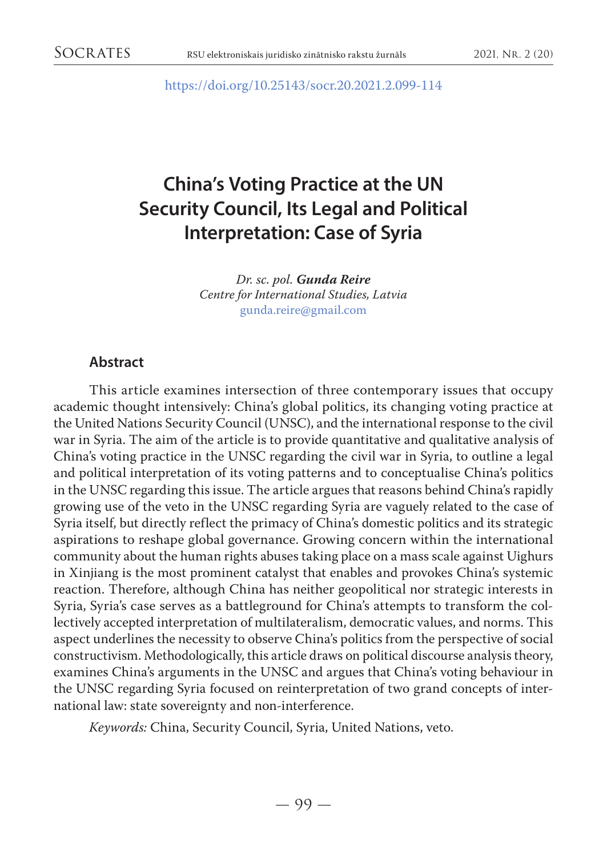<https://doi.org/10.25143/socr.20.2021.2.099-114>

# **China's Voting Practice at the UN Security Council, Its Legal and Political Interpretation: Case of Syria**

*Dr. sc. pol. Gunda Reire Centre for International Studies, Latvia*  [gunda.reire@gmail.com](mailto:gunda.reire@gmail.com)

#### **Abstract**

This article examines intersection of three contemporary issues that occupy academic thought intensively: China's global politics, its changing voting practice at the United Nations Security Council (UNSC), and the international response to the civil war in Syria. The aim of the article is to provide quantitative and qualitative analysis of China's voting practice in the UNSC regarding the civil war in Syria, to outline a legal and political interpretation of its voting patterns and to conceptualise China's politics in the UNSC regarding this issue. The article argues that reasons behind China's rapidly growing use of the veto in the UNSC regarding Syria are vaguely related to the case of Syria itself, but directly reflect the primacy of China's domestic politics and its strategic aspirations to reshape global governance. Growing concern within the international community about the human rights abuses taking place on a mass scale against Uighurs in Xinjiang is the most prominent catalyst that enables and provokes China's systemic reaction. Therefore, although China has neither geopolitical nor strategic interests in Syria, Syria's case serves as a battleground for China's attempts to transform the collectively accepted interpretation of multilateralism, democratic values, and norms. This aspect underlines the necessity to observe China's politics from the perspective of social constructivism. Methodologically, this article draws on political discourse analysis theory, examines China's arguments in the UNSC and argues that China's voting behaviour in the UNSC regarding Syria focused on reinterpretation of two grand concepts of international law: state sovereignty and non-interference.

*Keywords:* China, Security Council, Syria, United Nations, veto.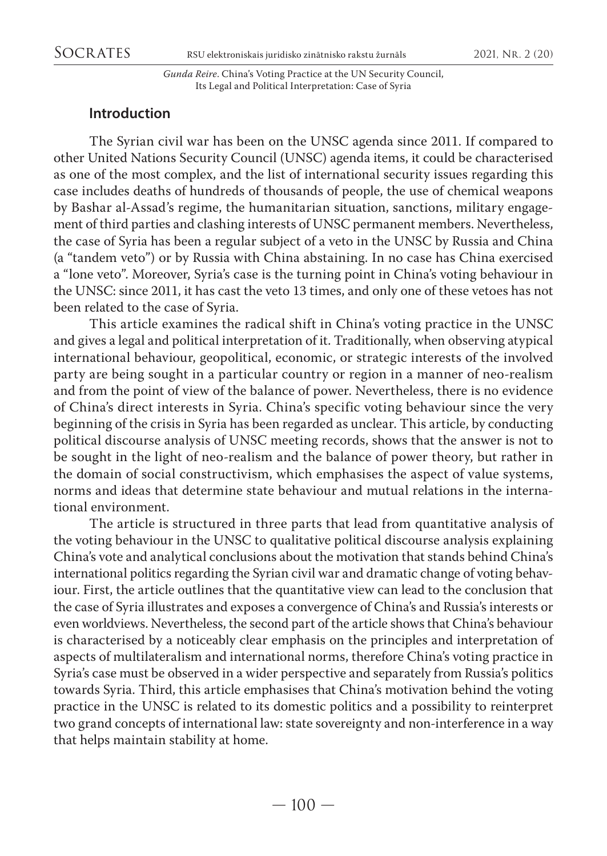## **Introduction**

The Syrian civil war has been on the UNSC agenda since 2011. If compared to other United Nations Security Council (UNSC) agenda items, it could be characterised as one of the most complex, and the list of international security issues regarding this case includes deaths of hundreds of thousands of people, the use of chemical weapons by Bashar al-Assad's regime, the humanitarian situation, sanctions, military engagement of third parties and clashing interests of UNSC permanent members. Nevertheless, the case of Syria has been a regular subject of a veto in the UNSC by Russia and China (a "tandem veto") or by Russia with China abstaining. In no case has China exercised a "lone veto". Moreover, Syria's case is the turning point in China's voting behaviour in the UNSC: since 2011, it has cast the veto 13 times, and only one of these vetoes has not been related to the case of Syria.

This article examines the radical shift in China's voting practice in the UNSC and gives a legal and political interpretation of it. Traditionally, when observing atypical international behaviour, geopolitical, economic, or strategic interests of the involved party are being sought in a particular country or region in a manner of neo-realism and from the point of view of the balance of power. Nevertheless, there is no evidence of China's direct interests in Syria. China's specific voting behaviour since the very beginning of the crisis in Syria has been regarded as unclear. This article, by conducting political discourse analysis of UNSC meeting records, shows that the answer is not to be sought in the light of neo-realism and the balance of power theory, but rather in the domain of social constructivism, which emphasises the aspect of value systems, norms and ideas that determine state behaviour and mutual relations in the international environment.

The article is structured in three parts that lead from quantitative analysis of the voting behaviour in the UNSC to qualitative political discourse analysis explaining China's vote and analytical conclusions about the motivation that stands behind China's international politics regarding the Syrian civil war and dramatic change of voting behaviour. First, the article outlines that the quantitative view can lead to the conclusion that the case of Syria illustrates and exposes a convergence of China's and Russia's interests or even worldviews. Nevertheless, the second part of the article shows that China's behaviour is characterised by a noticeably clear emphasis on the principles and interpretation of aspects of multilateralism and international norms, therefore China's voting practice in Syria's case must be observed in a wider perspective and separately from Russia's politics towards Syria. Third, this article emphasises that China's motivation behind the voting practice in the UNSC is related to its domestic politics and a possibility to reinterpret two grand concepts of international law: state sovereignty and non-interference in a way that helps maintain stability at home.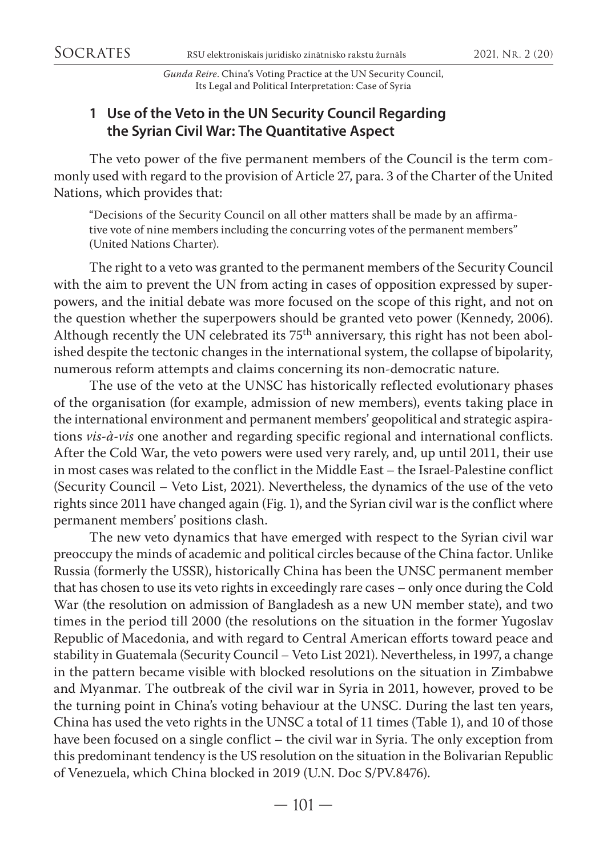### **1 Use of the Veto in the UN Security Council Regarding the Syrian Civil War: The Quantitative Aspect**

The veto power of the five permanent members of the Council is the term commonly used with regard to the provision of Article 27, para. 3 of the Charter of the United Nations, which provides that:

"Decisions of the Security Council on all other matters shall be made by an affirmative vote of nine members including the concurring votes of the permanent members" (United Nations Charter).

The right to a veto was granted to the permanent members of the Security Council with the aim to prevent the UN from acting in cases of opposition expressed by superpowers, and the initial debate was more focused on the scope of this right, and not on the question whether the superpowers should be granted veto power (Kennedy, 2006). Although recently the UN celebrated its 75<sup>th</sup> anniversary, this right has not been abolished despite the tectonic changes in the international system, the collapse of bipolarity, numerous reform attempts and claims concerning its non-democratic nature.

The use of the veto at the UNSC has historically reflected evolutionary phases of the organisation (for example, admission of new members), events taking place in the international environment and permanent members' geopolitical and strategic aspirations *vis-à-vis* one another and regarding specific regional and international conflicts. After the Cold War, the veto powers were used very rarely, and, up until 2011, their use in most cases was related to the conflict in the Middle East – the Israel-Palestine conflict (Security Council – Veto List, 2021). Nevertheless, the dynamics of the use of the veto rights since 2011 have changed again (Fig. 1), and the Syrian civil war is the conflict where permanent members' positions clash.

The new veto dynamics that have emerged with respect to the Syrian civil war preoccupy the minds of academic and political circles because of the China factor. Unlike Russia (formerly the USSR), historically China has been the UNSC permanent member that has chosen to use its veto rights in exceedingly rare cases – only once during the Cold War (the resolution on admission of Bangladesh as a new UN member state), and two times in the period till 2000 (the resolutions on the situation in the former Yugoslav Republic of Macedonia, and with regard to Central American efforts toward peace and stability in Guatemala (Security Council – Veto List 2021). Nevertheless, in 1997, a change in the pattern became visible with blocked resolutions on the situation in Zimbabwe and Myanmar. The outbreak of the civil war in Syria in 2011, however, proved to be the turning point in China's voting behaviour at the UNSC. During the last ten years, China has used the veto rights in the UNSC a total of 11 times (Table 1), and 10 of those have been focused on a single conflict – the civil war in Syria. The only exception from this predominant tendency is the US resolution on the situation in the Bolivarian Republic of Venezuela, which China blocked in 2019 (U.N. Doc S/PV.8476).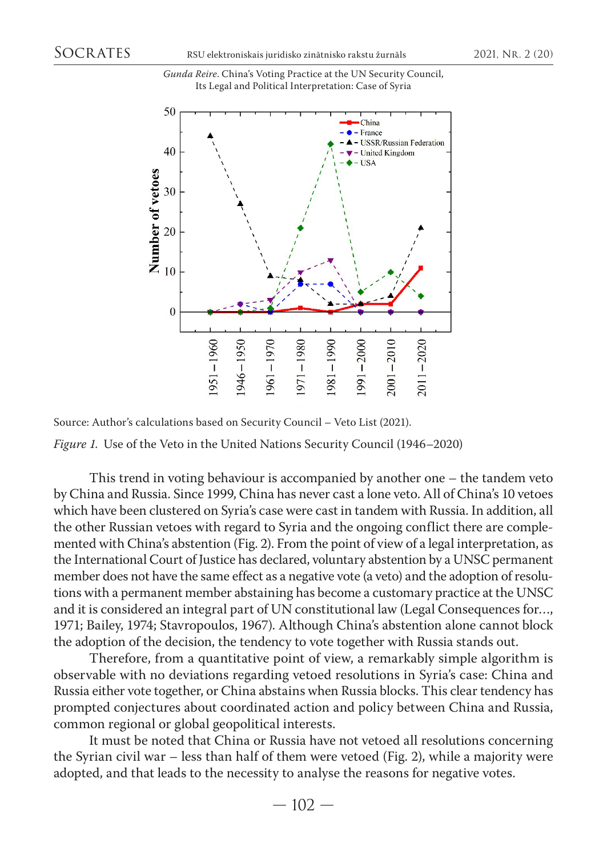



Source: Author's calculations based on Security Council – Veto List (2021).

*Figure 1.* Use of the Veto in the United Nations Security Council (1946–2020)

This trend in voting behaviour is accompanied by another one – the tandem veto by China and Russia. Since 1999, China has never cast a lone veto. All of China's 10 vetoes which have been clustered on Syria's case were cast in tandem with Russia. In addition, all the other Russian vetoes with regard to Syria and the ongoing conflict there are complemented with China's abstention (Fig. 2). From the point of view of a legal interpretation, as the International Court of Justice has declared, voluntary abstention by a UNSC permanent member does not have the same effect as a negative vote (a veto) and the adoption of resolutions with a permanent member abstaining has become a customary practice at the UNSC and it is considered an integral part of UN constitutional law (Legal Consequences for…, 1971; Bailey, 1974; Stavropoulos, 1967). Although China's abstention alone cannot block the adoption of the decision, the tendency to vote together with Russia stands out.

Therefore, from a quantitative point of view, a remarkably simple algorithm is observable with no deviations regarding vetoed resolutions in Syria's case: China and Russia either vote together, or China abstains when Russia blocks. This clear tendency has prompted conjectures about coordinated action and policy between China and Russia, common regional or global geopolitical interests.

It must be noted that China or Russia have not vetoed all resolutions concerning the Syrian civil war – less than half of them were vetoed (Fig. 2), while a majority were adopted, and that leads to the necessity to analyse the reasons for negative votes.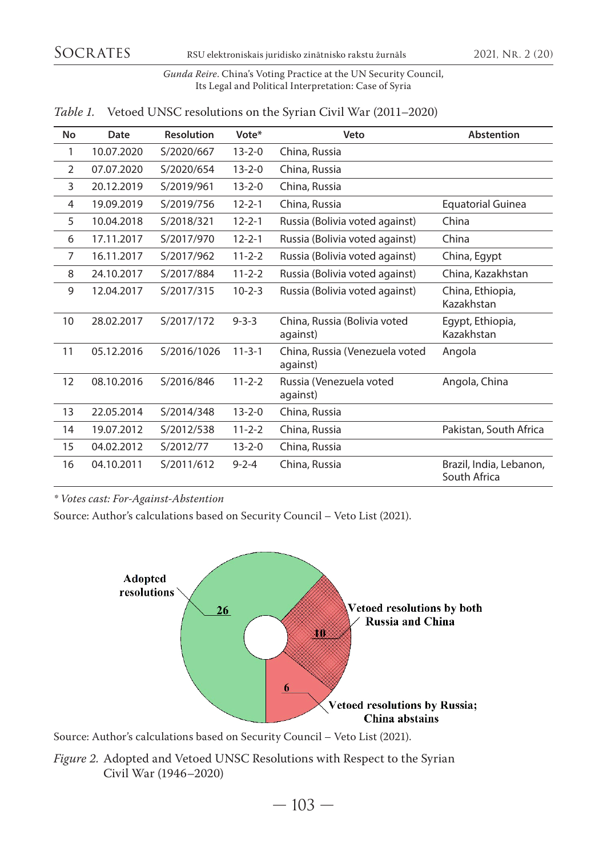| <b>No</b> | Date       | <b>Resolution</b> | Vote*        | Veto                                       | Abstention                              |
|-----------|------------|-------------------|--------------|--------------------------------------------|-----------------------------------------|
| 1         | 10.07.2020 | S/2020/667        | $13 - 2 - 0$ | China, Russia                              |                                         |
| 2         | 07.07.2020 | S/2020/654        | $13 - 2 - 0$ | China, Russia                              |                                         |
| 3         | 20.12.2019 | S/2019/961        | $13 - 2 - 0$ | China, Russia                              |                                         |
| 4         | 19.09.2019 | S/2019/756        | $12 - 2 - 1$ | China, Russia                              | <b>Equatorial Guinea</b>                |
| 5         | 10.04.2018 | S/2018/321        | $12 - 2 - 1$ | Russia (Bolivia voted against)             | China                                   |
| 6         | 17.11.2017 | S/2017/970        | $12 - 2 - 1$ | Russia (Bolivia voted against)             | China                                   |
| 7         | 16.11.2017 | S/2017/962        | $11 - 2 - 2$ | Russia (Bolivia voted against)             | China, Egypt                            |
| 8         | 24.10.2017 | S/2017/884        | $11 - 2 - 2$ | Russia (Bolivia voted against)             | China, Kazakhstan                       |
| 9         | 12.04.2017 | S/2017/315        | $10 - 2 - 3$ | Russia (Bolivia voted against)             | China, Ethiopia,<br>Kazakhstan          |
| 10        | 28.02.2017 | S/2017/172        | $9 - 3 - 3$  | China, Russia (Bolivia voted<br>against)   | Egypt, Ethiopia,<br>Kazakhstan          |
| 11        | 05.12.2016 | S/2016/1026       | $11 - 3 - 1$ | China, Russia (Venezuela voted<br>against) | Angola                                  |
| 12        | 08.10.2016 | S/2016/846        | $11 - 2 - 2$ | Russia (Venezuela voted<br>against)        | Angola, China                           |
| 13        | 22.05.2014 | S/2014/348        | $13 - 2 - 0$ | China, Russia                              |                                         |
| 14        | 19.07.2012 | S/2012/538        | $11 - 2 - 2$ | China, Russia                              | Pakistan, South Africa                  |
| 15        | 04.02.2012 | S/2012/77         | $13 - 2 - 0$ | China, Russia                              |                                         |
| 16        | 04.10.2011 | S/2011/612        | $9 - 2 - 4$  | China, Russia                              | Brazil, India, Lebanon,<br>South Africa |

*Table 1.* Vetoed UNSC resolutions on the Syrian Civil War (2011–2020)

*\* Votes cast: For-Against-Abstention*

Source: Author's calculations based on Security Council – Veto List (2021).



Source: Author's calculations based on Security Council – Veto List (2021).

*Figure 2.* Adopted and Vetoed UNSC Resolutions with Respect to the Syrian Civil War (1946–2020)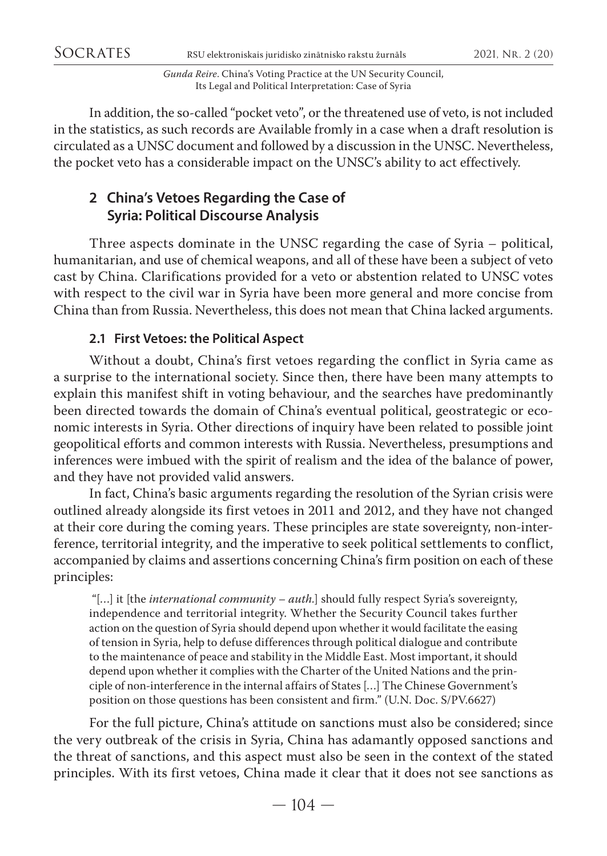In addition, the so-called "pocket veto", or the threatened use of veto, is not included in the statistics, as such records are Available fromly in a case when a draft resolution is circulated as a UNSC document and followed by a discussion in the UNSC. Nevertheless, the pocket veto has a considerable impact on the UNSC's ability to act effectively.

# **2 China's Vetoes Regarding the Case of Syria: Political Discourse Analysis**

Three aspects dominate in the UNSC regarding the case of Syria – political, humanitarian, and use of chemical weapons, and all of these have been a subject of veto cast by China. Clarifications provided for a veto or abstention related to UNSC votes with respect to the civil war in Syria have been more general and more concise from China than from Russia. Nevertheless, this does not mean that China lacked arguments.

#### **2.1 First Vetoes: the Political Aspect**

Without a doubt, China's first vetoes regarding the conflict in Syria came as a surprise to the international society. Since then, there have been many attempts to explain this manifest shift in voting behaviour, and the searches have predominantly been directed towards the domain of China's eventual political, geostrategic or economic interests in Syria. Other directions of inquiry have been related to possible joint geopolitical efforts and common interests with Russia. Nevertheless, presumptions and inferences were imbued with the spirit of realism and the idea of the balance of power, and they have not provided valid answers.

In fact, China's basic arguments regarding the resolution of the Syrian crisis were outlined already alongside its first vetoes in 2011 and 2012, and they have not changed at their core during the coming years. These principles are state sovereignty, non-interference, territorial integrity, and the imperative to seek political settlements to conflict, accompanied by claims and assertions concerning China's firm position on each of these principles:

 "[…] it [the *international community – auth.*] should fully respect Syria's sovereignty, independence and territorial integrity. Whether the Security Council takes further action on the question of Syria should depend upon whether it would facilitate the easing of tension in Syria, help to defuse differences through political dialogue and contribute to the maintenance of peace and stability in the Middle East. Most important, it should depend upon whether it complies with the Charter of the United Nations and the principle of non-interference in the internal affairs of States […] The Chinese Government's position on those questions has been consistent and firm." (U.N. Doc. S/PV.6627)

For the full picture, China's attitude on sanctions must also be considered; since the very outbreak of the crisis in Syria, China has adamantly opposed sanctions and the threat of sanctions, and this aspect must also be seen in the context of the stated principles. With its first vetoes, China made it clear that it does not see sanctions as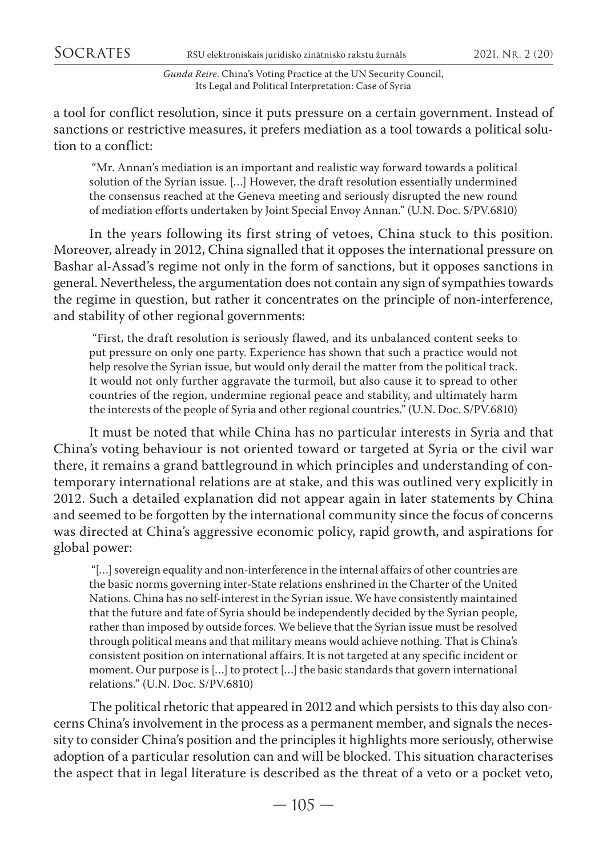a tool for conflict resolution, since it puts pressure on a certain government. Instead of sanctions or restrictive measures, it prefers mediation as a tool towards a political solution to a conflict:

 "Mr. Annan's mediation is an important and realistic way forward towards a political solution of the Syrian issue. […] However, the draft resolution essentially undermined the consensus reached at the Geneva meeting and seriously disrupted the new round of mediation efforts undertaken by Joint Special Envoy Annan." (U.N. Doc. S/PV.6810)

In the years following its first string of vetoes, China stuck to this position. Moreover, already in 2012, China signalled that it opposes the international pressure on Bashar al-Assad's regime not only in the form of sanctions, but it opposes sanctions in general. Nevertheless, the argumentation does not contain any sign of sympathies towards the regime in question, but rather it concentrates on the principle of non-interference, and stability of other regional governments:

 "First, the draft resolution is seriously flawed, and its unbalanced content seeks to put pressure on only one party. Experience has shown that such a practice would not help resolve the Syrian issue, but would only derail the matter from the political track. It would not only further aggravate the turmoil, but also cause it to spread to other countries of the region, undermine regional peace and stability, and ultimately harm the interests of the people of Syria and other regional countries." (U.N. Doc. S/PV.6810)

It must be noted that while China has no particular interests in Syria and that China's voting behaviour is not oriented toward or targeted at Syria or the civil war there, it remains a grand battleground in which principles and understanding of contemporary international relations are at stake, and this was outlined very explicitly in 2012. Such a detailed explanation did not appear again in later statements by China and seemed to be forgotten by the international community since the focus of concerns was directed at China's aggressive economic policy, rapid growth, and aspirations for global power:

 "[…] sovereign equality and non-interference in the internal affairs of other countries are the basic norms governing inter-State relations enshrined in the Charter of the United Nations. China has no self-interest in the Syrian issue. We have consistently maintained that the future and fate of Syria should be independently decided by the Syrian people, rather than imposed by outside forces. We believe that the Syrian issue must be resolved through political means and that military means would achieve nothing. That is China's consistent position on international affairs. It is not targeted at any specific incident or moment. Our purpose is […] to protect […] the basic standards that govern international relations." (U.N. Doc. S/PV.6810)

The political rhetoric that appeared in 2012 and which persists to this day also concerns China's involvement in the process as a permanent member, and signals the necessity to consider China's position and the principles it highlights more seriously, otherwise adoption of a particular resolution can and will be blocked. This situation characterises the aspect that in legal literature is described as the threat of a veto or a pocket veto,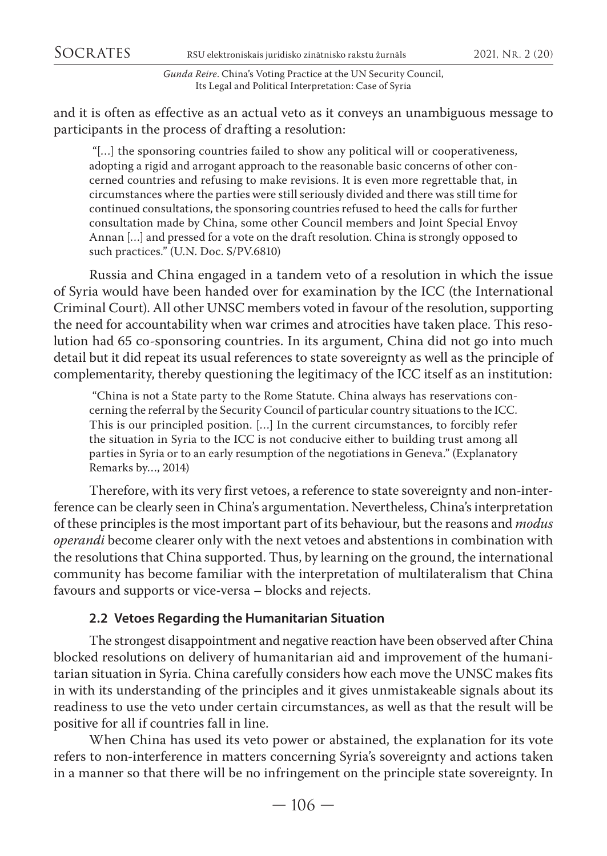and it is often as effective as an actual veto as it conveys an unambiguous message to participants in the process of drafting a resolution:

 "[…] the sponsoring countries failed to show any political will or cooperativeness, adopting a rigid and arrogant approach to the reasonable basic concerns of other concerned countries and refusing to make revisions. It is even more regrettable that, in circumstances where the parties were still seriously divided and there was still time for continued consultations, the sponsoring countries refused to heed the calls for further consultation made by China, some other Council members and Joint Special Envoy Annan […] and pressed for a vote on the draft resolution. China is strongly opposed to such practices." (U.N. Doc. S/PV.6810)

Russia and China engaged in a tandem veto of a resolution in which the issue of Syria would have been handed over for examination by the ICC (the International Criminal Court). All other UNSC members voted in favour of the resolution, supporting the need for accountability when war crimes and atrocities have taken place. This resolution had 65 co-sponsoring countries. In its argument, China did not go into much detail but it did repeat its usual references to state sovereignty as well as the principle of complementarity, thereby questioning the legitimacy of the ICC itself as an institution:

 "China is not a State party to the Rome Statute. China always has reservations concerning the referral by the Security Council of particular country situations to the ICC. This is our principled position. […] In the current circumstances, to forcibly refer the situation in Syria to the ICC is not conducive either to building trust among all parties in Syria or to an early resumption of the negotiations in Geneva." (Explanatory Remarks by…, 2014)

Therefore, with its very first vetoes, a reference to state sovereignty and non-interference can be clearly seen in China's argumentation. Nevertheless, China's interpretation of these principles is the most important part of its behaviour, but the reasons and *modus operandi* become clearer only with the next vetoes and abstentions in combination with the resolutions that China supported. Thus, by learning on the ground, the international community has become familiar with the interpretation of multilateralism that China favours and supports or vice-versa – blocks and rejects.

#### **2.2 Vetoes Regarding the Humanitarian Situation**

The strongest disappointment and negative reaction have been observed after China blocked resolutions on delivery of humanitarian aid and improvement of the humanitarian situation in Syria. China carefully considers how each move the UNSC makes fits in with its understanding of the principles and it gives unmistakeable signals about its readiness to use the veto under certain circumstances, as well as that the result will be positive for all if countries fall in line.

When China has used its veto power or abstained, the explanation for its vote refers to non-interference in matters concerning Syria's sovereignty and actions taken in a manner so that there will be no infringement on the principle state sovereignty. In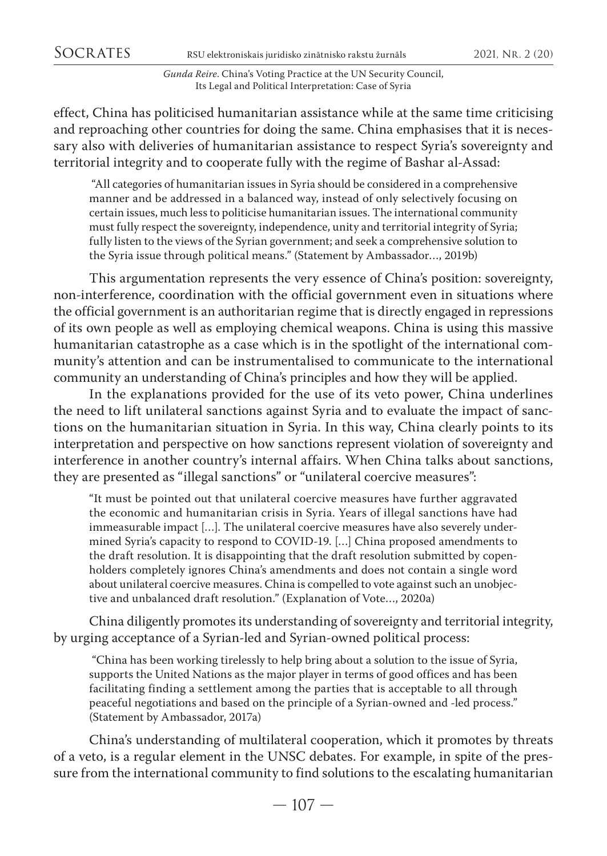effect, China has politicised humanitarian assistance while at the same time criticising and reproaching other countries for doing the same. China emphasises that it is necessary also with deliveries of humanitarian assistance to respect Syria's sovereignty and territorial integrity and to cooperate fully with the regime of Bashar al-Assad:

 "All categories of humanitarian issues in Syria should be considered in a comprehensive manner and be addressed in a balanced way, instead of only selectively focusing on certain issues, much less to politicise humanitarian issues. The international community must fully respect the sovereignty, independence, unity and territorial integrity of Syria; fully listen to the views of the Syrian government; and seek a comprehensive solution to the Syria issue through political means." (Statement by Ambassador…, 2019b)

This argumentation represents the very essence of China's position: sovereignty, non-interference, coordination with the official government even in situations where the official government is an authoritarian regime that is directly engaged in repressions of its own people as well as employing chemical weapons. China is using this massive humanitarian catastrophe as a case which is in the spotlight of the international community's attention and can be instrumentalised to communicate to the international community an understanding of China's principles and how they will be applied.

In the explanations provided for the use of its veto power, China underlines the need to lift unilateral sanctions against Syria and to evaluate the impact of sanctions on the humanitarian situation in Syria. In this way, China clearly points to its interpretation and perspective on how sanctions represent violation of sovereignty and interference in another country's internal affairs. When China talks about sanctions, they are presented as "illegal sanctions" or "unilateral coercive measures":

"It must be pointed out that unilateral coercive measures have further aggravated the economic and humanitarian crisis in Syria. Years of illegal sanctions have had immeasurable impact […]. The unilateral coercive measures have also severely undermined Syria's capacity to respond to COVID-19. […] China proposed amendments to the draft resolution. It is disappointing that the draft resolution submitted by copenholders completely ignores China's amendments and does not contain a single word about unilateral coercive measures. China is compelled to vote against such an unobjective and unbalanced draft resolution." (Explanation of Vote…, 2020a)

China diligently promotes its understanding of sovereignty and territorial integrity, by urging acceptance of a Syrian-led and Syrian-owned political process:

 "China has been working tirelessly to help bring about a solution to the issue of Syria, supports the United Nations as the major player in terms of good offices and has been facilitating finding a settlement among the parties that is acceptable to all through peaceful negotiations and based on the principle of a Syrian-owned and -led process." (Statement by Ambassador, 2017a)

China's understanding of multilateral cooperation, which it promotes by threats of a veto, is a regular element in the UNSC debates. For example, in spite of the pressure from the international community to find solutions to the escalating humanitarian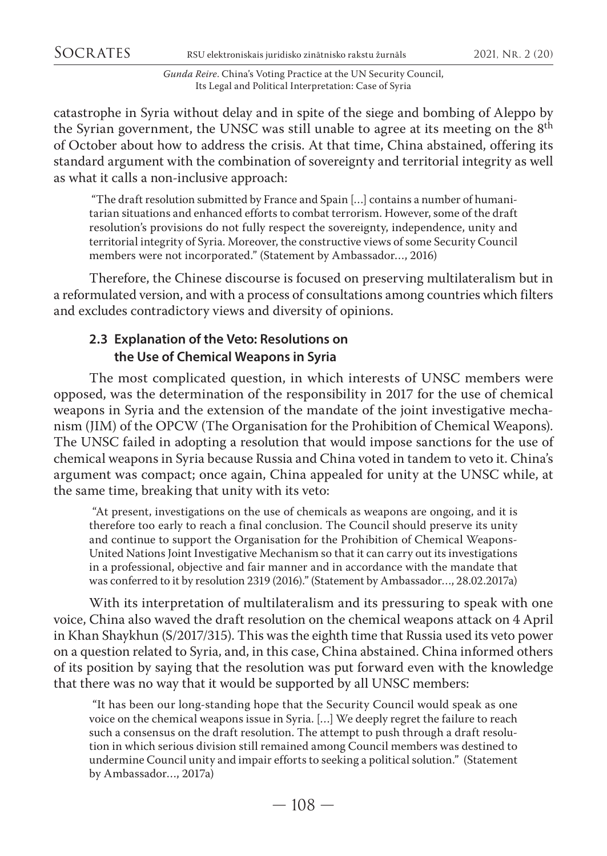catastrophe in Syria without delay and in spite of the siege and bombing of Aleppo by the Syrian government, the UNSC was still unable to agree at its meeting on the 8th of October about how to address the crisis. At that time, China abstained, offering its standard argument with the combination of sovereignty and territorial integrity as well as what it calls a non-inclusive approach:

 "The draft resolution submitted by France and Spain […] contains a number of humanitarian situations and enhanced efforts to combat terrorism. However, some of the draft resolution's provisions do not fully respect the sovereignty, independence, unity and territorial integrity of Syria. Moreover, the constructive views of some Security Council members were not incorporated." (Statement by Ambassador…, 2016)

Therefore, the Chinese discourse is focused on preserving multilateralism but in a reformulated version, and with a process of consultations among countries which filters and excludes contradictory views and diversity of opinions.

### **2.3 Explanation of the Veto: Resolutions on the Use of Chemical Weapons in Syria**

The most complicated question, in which interests of UNSC members were opposed, was the determination of the responsibility in 2017 for the use of chemical weapons in Syria and the extension of the mandate of the joint investigative mechanism (JIM) of the OPCW (The Organisation for the Prohibition of Chemical Weapons). The UNSC failed in adopting a resolution that would impose sanctions for the use of chemical weapons in Syria because Russia and China voted in tandem to veto it. China's argument was compact; once again, China appealed for unity at the UNSC while, at the same time, breaking that unity with its veto:

 "At present, investigations on the use of chemicals as weapons are ongoing, and it is therefore too early to reach a final conclusion. The Council should preserve its unity and continue to support the Organisation for the Prohibition of Chemical Weapons-United Nations Joint Investigative Mechanism so that it can carry out its investigations in a professional, objective and fair manner and in accordance with the mandate that was conferred to it by resolution 2319 (2016)." (Statement by Ambassador…, 28.02.2017a)

With its interpretation of multilateralism and its pressuring to speak with one voice, China also waved the draft resolution on the chemical weapons attack on 4 April in Khan Shaykhun (S/2017/315). This was the eighth time that Russia used its veto power on a question related to Syria, and, in this case, China abstained. China informed others of its position by saying that the resolution was put forward even with the knowledge that there was no way that it would be supported by all UNSC members:

 "It has been our long-standing hope that the Security Council would speak as one voice on the chemical weapons issue in Syria. […] We deeply regret the failure to reach such a consensus on the draft resolution. The attempt to push through a draft resolution in which serious division still remained among Council members was destined to undermine Council unity and impair efforts to seeking a political solution." (Statement by Ambassador…, 2017a)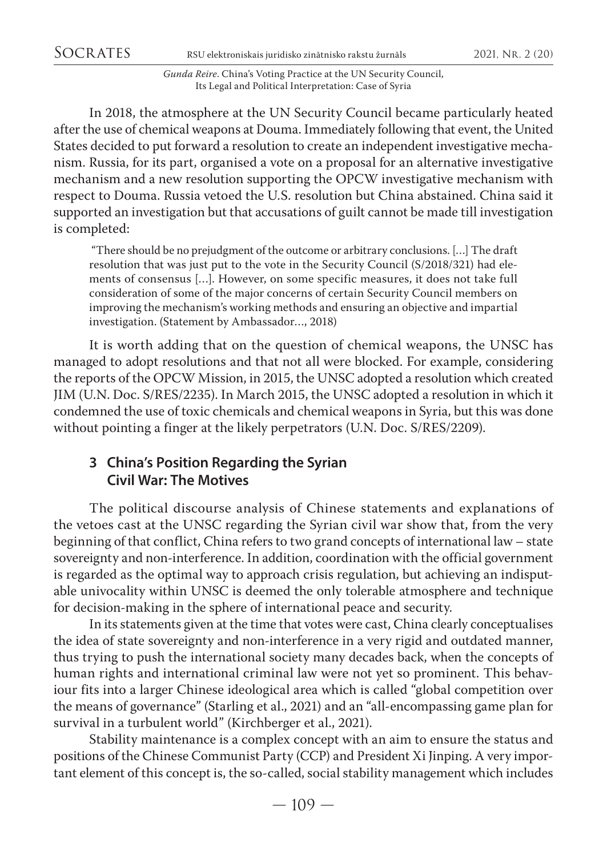In 2018, the atmosphere at the UN Security Council became particularly heated after the use of chemical weapons at Douma. Immediately following that event, the United States decided to put forward a resolution to create an independent investigative mechanism. Russia, for its part, organised a vote on a proposal for an alternative investigative mechanism and a new resolution supporting the OPCW investigative mechanism with respect to Douma. Russia vetoed the U.S. resolution but China abstained. China said it supported an investigation but that accusations of guilt cannot be made till investigation is completed:

 "There should be no prejudgment of the outcome or arbitrary conclusions. […] The draft resolution that was just put to the vote in the Security Council (S/2018/321) had elements of consensus […]. However, on some specific measures, it does not take full consideration of some of the major concerns of certain Security Council members on improving the mechanism's working methods and ensuring an objective and impartial investigation. (Statement by Ambassador…, 2018)

It is worth adding that on the question of chemical weapons, the UNSC has managed to adopt resolutions and that not all were blocked. For example, considering the reports of the OPCW Mission, in 2015, the UNSC adopted a resolution which created JIM (U.N. Doc. S/RES/2235). In March 2015, the UNSC adopted a resolution in which it condemned the use of toxic chemicals and chemical weapons in Syria, but this was done without pointing a finger at the likely perpetrators (U.N. Doc. S/RES/2209).

# **3 China's Position Regarding the Syrian Civil War: The Motives**

The political discourse analysis of Chinese statements and explanations of the vetoes cast at the UNSC regarding the Syrian civil war show that, from the very beginning of that conflict, China refers to two grand concepts of international law – state sovereignty and non-interference. In addition, coordination with the official government is regarded as the optimal way to approach crisis regulation, but achieving an indisputable univocality within UNSC is deemed the only tolerable atmosphere and technique for decision-making in the sphere of international peace and security.

In its statements given at the time that votes were cast, China clearly conceptualises the idea of state sovereignty and non-interference in a very rigid and outdated manner, thus trying to push the international society many decades back, when the concepts of human rights and international criminal law were not yet so prominent. This behaviour fits into a larger Chinese ideological area which is called "global competition over the means of governance" (Starling et al., 2021) and an "all-encompassing game plan for survival in a turbulent world" (Kirchberger et al., 2021).

Stability maintenance is a complex concept with an aim to ensure the status and positions of the Chinese Communist Party (CCP) and President Xi Jinping. A very important element of this concept is, the so-called, social stability management which includes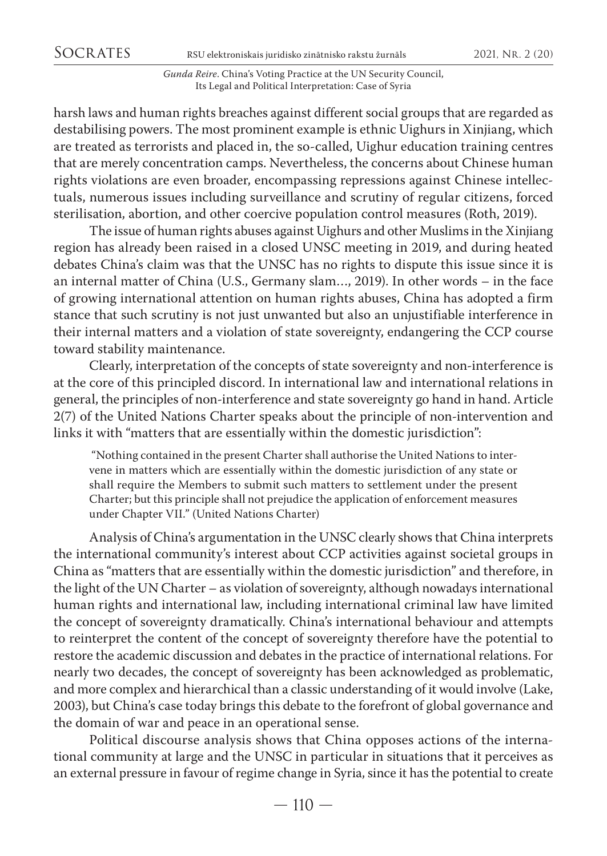harsh laws and human rights breaches against different social groups that are regarded as destabilising powers. The most prominent example is ethnic Uighurs in Xinjiang, which are treated as terrorists and placed in, the so-called, Uighur education training centres that are merely concentration camps. Nevertheless, the concerns about Chinese human rights violations are even broader, encompassing repressions against Chinese intellectuals, numerous issues including surveillance and scrutiny of regular citizens, forced sterilisation, abortion, and other coercive population control measures (Roth, 2019).

The issue of human rights abuses against Uighurs and other Muslims in the Xinjiang region has already been raised in a closed UNSC meeting in 2019, and during heated debates China's claim was that the UNSC has no rights to dispute this issue since it is an internal matter of China (U.S., Germany slam…, 2019). In other words – in the face of growing international attention on human rights abuses, China has adopted a firm stance that such scrutiny is not just unwanted but also an unjustifiable interference in their internal matters and a violation of state sovereignty, endangering the CCP course toward stability maintenance.

Clearly, interpretation of the concepts of state sovereignty and non-interference is at the core of this principled discord. In international law and international relations in general, the principles of non-interference and state sovereignty go hand in hand. Article 2(7) of the United Nations Charter speaks about the principle of non-intervention and links it with "matters that are essentially within the domestic jurisdiction":

 "Nothing contained in the present Charter shall authorise the United Nations to intervene in matters which are essentially within the domestic jurisdiction of any state or shall require the Members to submit such matters to settlement under the present Charter; but this principle shall not prejudice the application of enforcement measures under Chapter VII." (United Nations Charter)

Analysis of China's argumentation in the UNSC clearly shows that China interprets the international community's interest about CCP activities against societal groups in China as "matters that are essentially within the domestic jurisdiction" and therefore, in the light of the UN Charter – as violation of sovereignty, although nowadays international human rights and international law, including international criminal law have limited the concept of sovereignty dramatically. China's international behaviour and attempts to reinterpret the content of the concept of sovereignty therefore have the potential to restore the academic discussion and debates in the practice of international relations. For nearly two decades, the concept of sovereignty has been acknowledged as problematic, and more complex and hierarchical than a classic understanding of it would involve (Lake, 2003), but China's case today brings this debate to the forefront of global governance and the domain of war and peace in an operational sense.

Political discourse analysis shows that China opposes actions of the international community at large and the UNSC in particular in situations that it perceives as an external pressure in favour of regime change in Syria, since it has the potential to create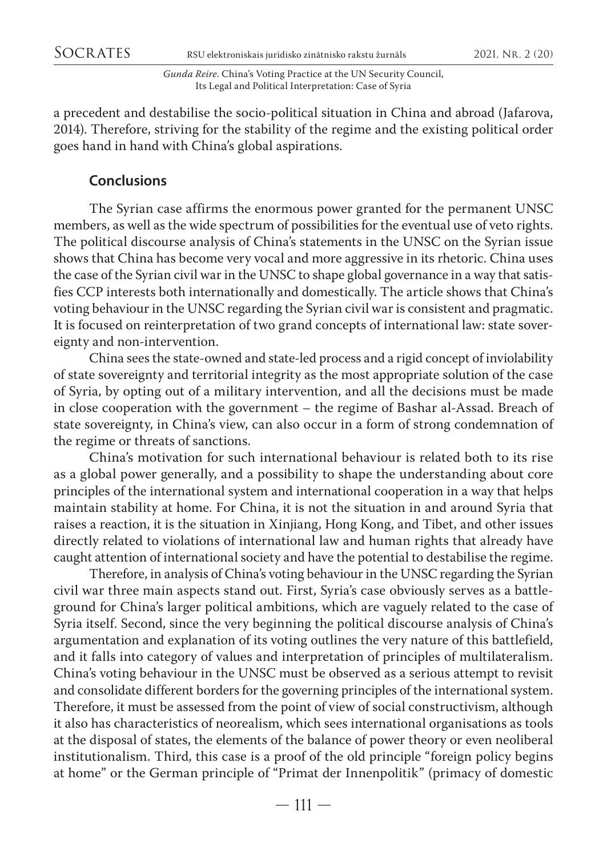a precedent and destabilise the socio-political situation in China and abroad (Jafarova, 2014). Therefore, striving for the stability of the regime and the existing political order goes hand in hand with China's global aspirations.

#### **Conclusions**

The Syrian case affirms the enormous power granted for the permanent UNSC members, as well as the wide spectrum of possibilities for the eventual use of veto rights. The political discourse analysis of China's statements in the UNSC on the Syrian issue shows that China has become very vocal and more aggressive in its rhetoric. China uses the case of the Syrian civil war in the UNSC to shape global governance in a way that satisfies CCP interests both internationally and domestically. The article shows that China's voting behaviour in the UNSC regarding the Syrian civil war is consistent and pragmatic. It is focused on reinterpretation of two grand concepts of international law: state sovereignty and non-intervention.

China sees the state-owned and state-led process and a rigid concept of inviolability of state sovereignty and territorial integrity as the most appropriate solution of the case of Syria, by opting out of a military intervention, and all the decisions must be made in close cooperation with the government – the regime of Bashar al-Assad. Breach of state sovereignty, in China's view, can also occur in a form of strong condemnation of the regime or threats of sanctions.

China's motivation for such international behaviour is related both to its rise as a global power generally, and a possibility to shape the understanding about core principles of the international system and international cooperation in a way that helps maintain stability at home. For China, it is not the situation in and around Syria that raises a reaction, it is the situation in Xinjiang, Hong Kong, and Tibet, and other issues directly related to violations of international law and human rights that already have caught attention of international society and have the potential to destabilise the regime.

Therefore, in analysis of China's voting behaviour in the UNSC regarding the Syrian civil war three main aspects stand out. First, Syria's case obviously serves as a battleground for China's larger political ambitions, which are vaguely related to the case of Syria itself. Second, since the very beginning the political discourse analysis of China's argumentation and explanation of its voting outlines the very nature of this battlefield, and it falls into category of values and interpretation of principles of multilateralism. China's voting behaviour in the UNSC must be observed as a serious attempt to revisit and consolidate different borders for the governing principles of the international system. Therefore, it must be assessed from the point of view of social constructivism, although it also has characteristics of neorealism, which sees international organisations as tools at the disposal of states, the elements of the balance of power theory or even neoliberal institutionalism. Third, this case is a proof of the old principle "foreign policy begins at home" or the German principle of "Primat der Innenpolitik" (primacy of domestic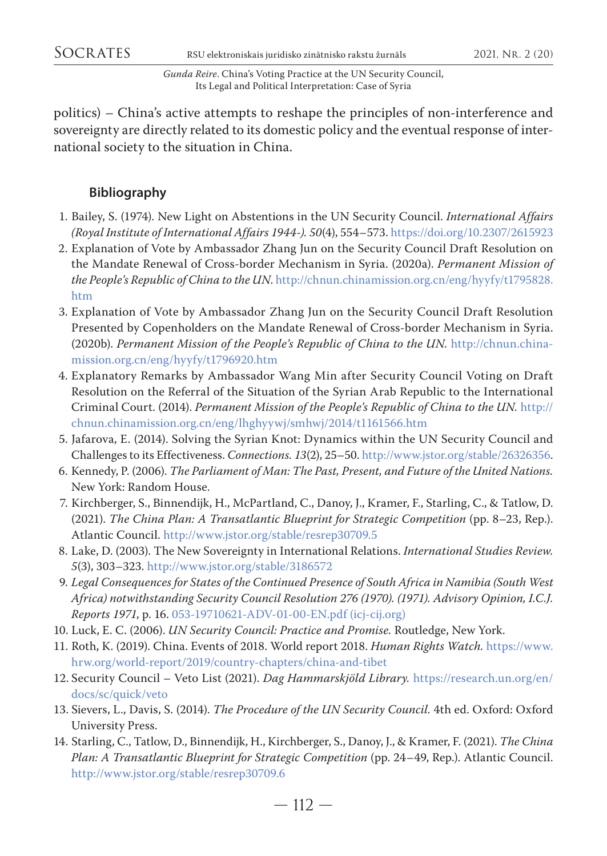politics) – China's active attempts to reshape the principles of non-interference and sovereignty are directly related to its domestic policy and the eventual response of international society to the situation in China.

### **Bibliography**

- 1. Bailey, S. (1974). New Light on Abstentions in the UN Security Council. *International Affairs (Royal Institute of International Affairs 1944-). 50*(4), 554–573.<https://doi.org/10.2307/2615923>
- 2. Explanation of Vote by Ambassador Zhang Jun on the Security Council Draft Resolution on the Mandate Renewal of Cross-border Mechanism in Syria. (2020a). *Permanent Mission of the People's Republic of China to the UN*. [http://chnun.chinamission.org.cn/eng/hyyfy/t1795828.](http://chnun.chinamission.org.cn/eng/hyyfy/t1795828.htm) [htm](http://chnun.chinamission.org.cn/eng/hyyfy/t1795828.htm)
- 3. Explanation of Vote by Ambassador Zhang Jun on the Security Council Draft Resolution Presented by Copenholders on the Mandate Renewal of Cross-border Mechanism in Syria. (2020b). *Permanent Mission of the People's Republic of China to the UN.* [http://chnun.china](http://chnun.chinamission.org.cn/eng/hyyfy/t1796920.htm)[mission.org.cn/eng/hyyfy/t1796920.htm](http://chnun.chinamission.org.cn/eng/hyyfy/t1796920.htm)
- 4. Explanatory Remarks by Ambassador Wang Min after Security Council Voting on Draft Resolution on the Referral of the Situation of the Syrian Arab Republic to the International Criminal Court. (2014). *Permanent Mission of the People's Republic of China to the UN.* [http://](http://chnun.chinamission.org.cn/eng/lhghyywj/smhwj/2014/t1161566.htm) [chnun.chinamission.org.cn/eng/lhghyywj/smhwj/2014/t1161566.htm](http://chnun.chinamission.org.cn/eng/lhghyywj/smhwj/2014/t1161566.htm)
- 5. Jafarova, E. (2014). Solving the Syrian Knot: Dynamics within the UN Security Council and Challenges to its Effectiveness. *Connections. 13*(2), 25–50.<http://www.jstor.org/stable/26326356>.
- 6. Kennedy, P. (2006). *The Parliament of Man: The Past, Present, and Future of the United Nations.* New York: Random House.
- 7. Kirchberger, S., Binnendijk, H., McPartland, C., Danoy, J., Kramer, F., Starling, C., & Tatlow, D. (2021). *The China Plan: A Transatlantic Blueprint for Strategic Competition* (pp. 8–23, Rep.). Atlantic Council. <http://www.jstor.org/stable/resrep30709.5>
- 8. Lake, D. (2003). The New Sovereignty in International Relations. *International Studies Review. 5*(3), 303–323. <http://www.jstor.org/stable/3186572>
- 9. *Legal Consequences for States of the Continued Presence of South Africa in Namibia (South West Africa) notwithstanding Security Council Resolution 276 (1970). (1971). Advisory Opinion, I.C.J. Reports 1971*, p. 16. [053-19710621-ADV-01-00-EN.pdf \(icj-cij.org\)](https://www.icj-cij.org/public/files/case-related/53/053-19710621-ADV-01-00-EN.pdf)
- 10. Luck, E. C. (2006). *UN Security Council: Practice and Promise.* Routledge, New York.
- 11. Roth, K. (2019). China. Events of 2018. World report 2018. *Human Rights Watch.* [https://www.](https://www.hrw.org/world-report/2019/country-chapters/china-and-tibet) [hrw.org/world-report/2019/country-chapters/china-and-tibet](https://www.hrw.org/world-report/2019/country-chapters/china-and-tibet)
- 12. Security Council Veto List (2021). *Dag Hammarskjöld Library.* [https://research.un.org/en/](https://research.un.org/en/docs/sc/quick/veto) [docs/sc/quick/veto](https://research.un.org/en/docs/sc/quick/veto)
- 13. Sievers, L., Davis, S. (2014). *The Procedure of the UN Security Council.* 4th ed. Oxford: Oxford University Press.
- 14. Starling, C., Tatlow, D., Binnendijk, H., Kirchberger, S., Danoy, J., & Kramer, F. (2021). *The China Plan: A Transatlantic Blueprint for Strategic Competition* (pp. 24–49, Rep.). Atlantic Council. <http://www.jstor.org/stable/resrep30709.6>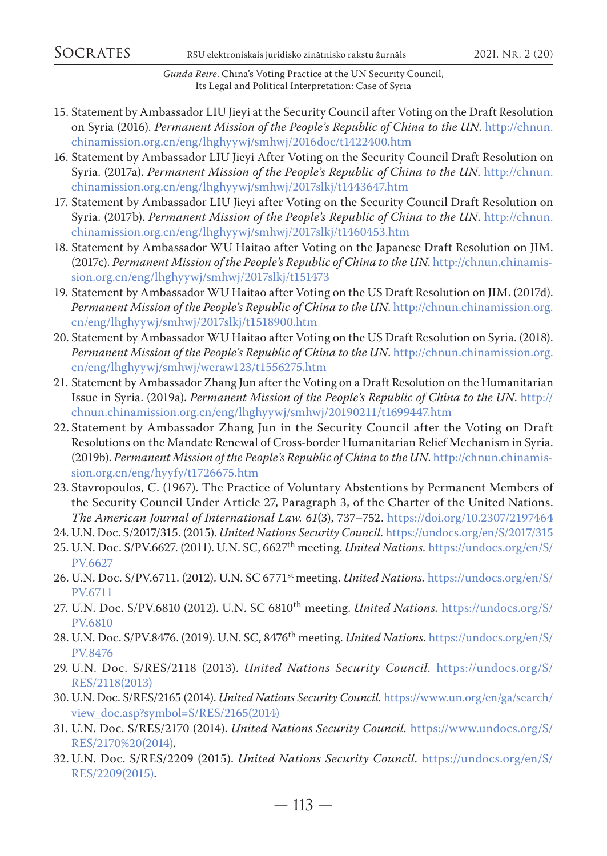- 15. Statement by Ambassador LIU Jieyi at the Security Council after Voting on the Draft Resolution on Syria (2016). *Permanent Mission of the People's Republic of China to the UN*. [http://chnun.](http://chnun.chinamission.org.cn/eng/lhghyywj/smhwj/2016doc/t1422400.htm) [chinamission.org.cn/eng/lhghyywj/smhwj/2016doc/t1422400.htm](http://chnun.chinamission.org.cn/eng/lhghyywj/smhwj/2016doc/t1422400.htm)
- 16. Statement by Ambassador LIU Jieyi After Voting on the Security Council Draft Resolution on Syria. (2017a). *Permanent Mission of the People's Republic of China to the UN*. [http://chnun.](http://chnun.chinamission.org.cn/eng/lhghyywj/smhwj/2017slkj/t1443647.htm) [chinamission.org.cn/eng/lhghyywj/smhwj/2017slkj/t1443647.htm](http://chnun.chinamission.org.cn/eng/lhghyywj/smhwj/2017slkj/t1443647.htm)
- 17. Statement by Ambassador LIU Jieyi after Voting on the Security Council Draft Resolution on Syria. (2017b). *Permanent Mission of the People's Republic of China to the UN*. [http://chnun.](http://chnun.chinamission.org.cn/eng/lhghyywj/smhwj/2017slkj/t1460453.htm) [chinamission.org.cn/eng/lhghyywj/smhwj/2017slkj/t1460453.htm](http://chnun.chinamission.org.cn/eng/lhghyywj/smhwj/2017slkj/t1460453.htm)
- 18. Statement by Ambassador WU Haitao after Voting on the Japanese Draft Resolution on JIM. (2017c). *Permanent Mission of the People's Republic of China to the UN*. [http://chnun.chinamis](http://chnun.chinamission.org.cn/eng/lhghyywj/smhwj/2017slkj/t151473)[sion.org.cn/eng/lhghyywj/smhwj/2017slkj/t151473](http://chnun.chinamission.org.cn/eng/lhghyywj/smhwj/2017slkj/t151473)
- 19. Statement by Ambassador WU Haitao after Voting on the US Draft Resolution on JIM. (2017d). *Permanent Mission of the People's Republic of China to the UN*. [http://chnun.chinamission.org.](http://chnun.chinamission.org.cn/eng/lhghyywj/smhwj/2017slkj/t1518900.htm) [cn/eng/lhghyywj/smhwj/2017slkj/t1518900.htm](http://chnun.chinamission.org.cn/eng/lhghyywj/smhwj/2017slkj/t1518900.htm)
- 20. Statement by Ambassador WU Haitao after Voting on the US Draft Resolution on Syria. (2018). *Permanent Mission of the People's Republic of China to the UN*. [http://chnun.chinamission.org.](http://chnun.chinamission.org.cn/eng/lhghyywj/smhwj/weraw123/t1556275.htm) [cn/eng/lhghyywj/smhwj/weraw123/t1556275.htm](http://chnun.chinamission.org.cn/eng/lhghyywj/smhwj/weraw123/t1556275.htm)
- 21. Statement by Ambassador Zhang Jun after the Voting on a Draft Resolution on the Humanitarian Issue in Syria. (2019a). *Permanent Mission of the People's Republic of China to the UN*. [http://](http://chnun.chinamission.org.cn/eng/lhghyywj/smhwj/20190211/t1699447.htm) [chnun.chinamission.org.cn/eng/lhghyywj/smhwj/20190211/t1699447.htm](http://chnun.chinamission.org.cn/eng/lhghyywj/smhwj/20190211/t1699447.htm)
- 22. Statement by Ambassador Zhang Jun in the Security Council after the Voting on Draft Resolutions on the Mandate Renewal of Cross-border Humanitarian Relief Mechanism in Syria. (2019b). *Permanent Mission of the People's Republic of China to the UN*. [http://chnun.chinamis](http://chnun.chinamission.org.cn/eng/hyyfy/t1726675.htm)[sion.org.cn/eng/hyyfy/t1726675.htm](http://chnun.chinamission.org.cn/eng/hyyfy/t1726675.htm)
- 23. Stavropoulos, C. (1967). The Practice of Voluntary Abstentions by Permanent Members of the Security Council Under Article 27, Paragraph 3, of the Charter of the United Nations. *The American Journal of International Law. 61*(3), 737–752.<https://doi.org/10.2307/2197464>
- 24. U.N. Doc. S/2017/315. (2015). *United Nations Security Council.* <https://undocs.org/en/S/2017/315>
- 25. U.N. Doc. S/PV.6627. (2011). U.N. SC, 6627th meeting. *United Nations.* [https://undocs.org/en/S/](https://undocs.org/en/S/PV.6627) [PV.6627](https://undocs.org/en/S/PV.6627)
- 26. U.N. Doc. S/PV.6711. (2012). U.N. SC 6771st meeting. *United Nations.* [https://undocs.org/en/S/](https://undocs.org/en/S/PV.6711) [PV.6711](https://undocs.org/en/S/PV.6711)
- 27. U.N. Doc. S/PV.6810 (2012). U.N. SC 6810th meeting. *United Nations.* [https://undocs.org/S/](https://undocs.org/S/PV.6810) [PV.6810](https://undocs.org/S/PV.6810)
- 28. U.N. Doc. S/PV.8476. (2019). U.N. SC, 8476th meeting. *United Nations.* [https://undocs.org/en/S/](https://undocs.org/en/S/PV.8476) [PV.8476](https://undocs.org/en/S/PV.8476)
- 29. U.N. Doc. S/RES/2118 (2013). *United Nations Security Council.* [https://undocs.org/S/](https://undocs.org/S/RES/2118(2013)) [RES/2118\(2013\)](https://undocs.org/S/RES/2118(2013))
- 30. U.N. Doc. S/RES/2165 (2014). *United Nations Security Council.* [https://www.un.org/en/ga/search/](https://www.un.org/en/ga/search/view_doc.asp?symbol=S/RES/2165(2014)) [view\\_doc.asp?symbol=S/RES/2165\(2014\)](https://www.un.org/en/ga/search/view_doc.asp?symbol=S/RES/2165(2014))
- 31. U.N. Doc. S/RES/2170 (2014). *United Nations Security Council.* [https://www.undocs.org/S/](https://www.undocs.org/S/RES/2170%2520%282014%29) [RES/2170%20\(2014\)](https://www.undocs.org/S/RES/2170%2520%282014%29).
- 32. U.N. Doc. S/RES/2209 (2015). *United Nations Security Council.* [https://undocs.org/en/S/](https://undocs.org/en/S/RES/2209(2015)) [RES/2209\(2015\)](https://undocs.org/en/S/RES/2209(2015)).